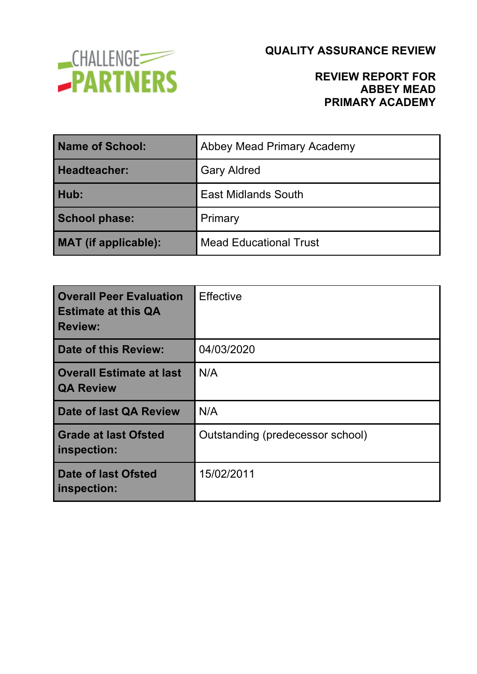

### **REVIEW REPORT FOR ABBEY MEAD PRIMARY ACADEMY**

| <b>Name of School:</b> | Abbey Mead Primary Academy    |
|------------------------|-------------------------------|
| <b>Headteacher:</b>    | <b>Gary Aldred</b>            |
| Hub:                   | <b>East Midlands South</b>    |
| <b>School phase:</b>   | Primary                       |
| MAT (if applicable):   | <b>Mead Educational Trust</b> |

| <b>Overall Peer Evaluation</b><br><b>Estimate at this QA</b><br><b>Review:</b> | <b>Effective</b>                 |
|--------------------------------------------------------------------------------|----------------------------------|
| Date of this Review:                                                           | 04/03/2020                       |
| <b>Overall Estimate at last</b><br><b>QA Review</b>                            | N/A                              |
| <b>Date of last QA Review</b>                                                  | N/A                              |
| <b>Grade at last Ofsted</b><br>inspection:                                     | Outstanding (predecessor school) |
| Date of last Ofsted<br>inspection:                                             | 15/02/2011                       |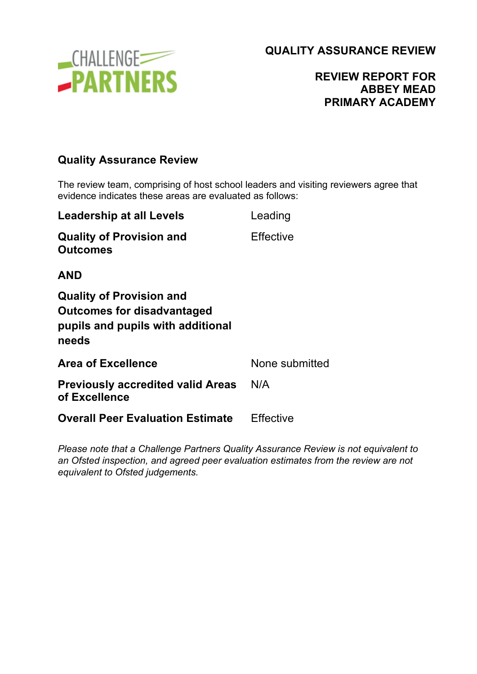

### **REVIEW REPORT FOR ABBEY MEAD PRIMARY ACADEMY**

### **Quality Assurance Review**

The review team, comprising of host school leaders and visiting reviewers agree that evidence indicates these areas are evaluated as follows:

| Leading        |
|----------------|
| Effective      |
|                |
|                |
| None submitted |
| N/A            |
| Effective      |
|                |

*Please note that a Challenge Partners Quality Assurance Review is not equivalent to an Ofsted inspection, and agreed peer evaluation estimates from the review are not equivalent to Ofsted judgements.*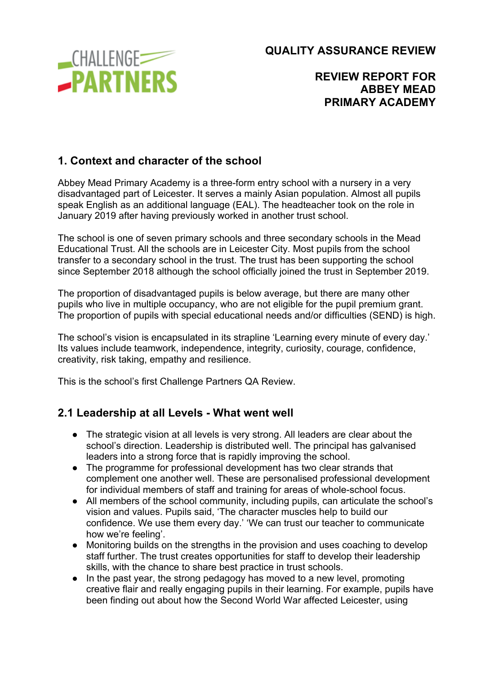**CHALLENGE -PARTNERS**  **QUALITY ASSURANCE REVIEW**

### **REVIEW REPORT FOR ABBEY MEAD PRIMARY ACADEMY**

### **1. Context and character of the school**

Abbey Mead Primary Academy is a three-form entry school with a nursery in a very disadvantaged part of Leicester. It serves a mainly Asian population. Almost all pupils speak English as an additional language (EAL). The headteacher took on the role in January 2019 after having previously worked in another trust school.

The school is one of seven primary schools and three secondary schools in the Mead Educational Trust. All the schools are in Leicester City. Most pupils from the school transfer to a secondary school in the trust. The trust has been supporting the school since September 2018 although the school officially joined the trust in September 2019.

The proportion of disadvantaged pupils is below average, but there are many other pupils who live in multiple occupancy, who are not eligible for the pupil premium grant. The proportion of pupils with special educational needs and/or difficulties (SEND) is high.

The school's vision is encapsulated in its strapline 'Learning every minute of every day.' Its values include teamwork, independence, integrity, curiosity, courage, confidence, creativity, risk taking, empathy and resilience.

This is the school's first Challenge Partners QA Review.

#### **2.1 Leadership at all Levels - What went well**

- The strategic vision at all levels is very strong. All leaders are clear about the school's direction. Leadership is distributed well. The principal has galvanised leaders into a strong force that is rapidly improving the school.
- The programme for professional development has two clear strands that complement one another well. These are personalised professional development for individual members of staff and training for areas of whole-school focus.
- All members of the school community, including pupils, can articulate the school's vision and values. Pupils said, 'The character muscles help to build our confidence. We use them every day.' 'We can trust our teacher to communicate how we're feeling'.
- Monitoring builds on the strengths in the provision and uses coaching to develop staff further. The trust creates opportunities for staff to develop their leadership skills, with the chance to share best practice in trust schools.
- In the past year, the strong pedagogy has moved to a new level, promoting creative flair and really engaging pupils in their learning. For example, pupils have been finding out about how the Second World War affected Leicester, using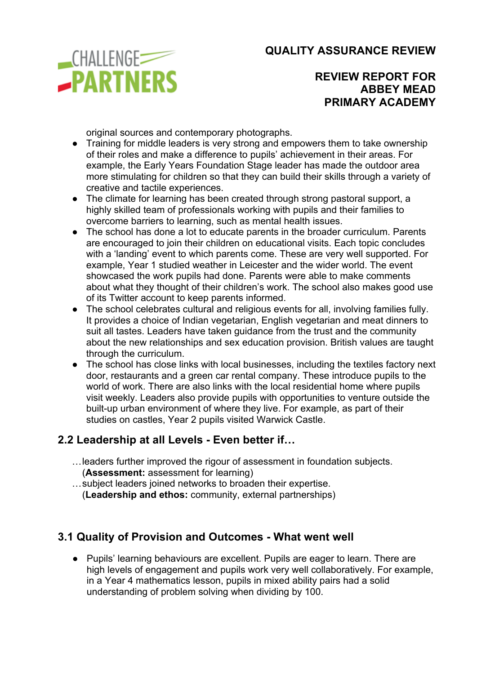

**REVIEW REPORT FOR ABBEY MEAD PRIMARY ACADEMY**

original sources and contemporary photographs.

- Training for middle leaders is very strong and empowers them to take ownership of their roles and make a difference to pupils' achievement in their areas. For example, the Early Years Foundation Stage leader has made the outdoor area more stimulating for children so that they can build their skills through a variety of creative and tactile experiences.
- The climate for learning has been created through strong pastoral support, a highly skilled team of professionals working with pupils and their families to overcome barriers to learning, such as mental health issues.
- The school has done a lot to educate parents in the broader curriculum. Parents are encouraged to join their children on educational visits. Each topic concludes with a 'landing' event to which parents come. These are very well supported. For example, Year 1 studied weather in Leicester and the wider world. The event showcased the work pupils had done. Parents were able to make comments about what they thought of their children's work. The school also makes good use of its Twitter account to keep parents informed.
- The school celebrates cultural and religious events for all, involving families fully. It provides a choice of Indian vegetarian, English vegetarian and meat dinners to suit all tastes. Leaders have taken guidance from the trust and the community about the new relationships and sex education provision. British values are taught through the curriculum.
- The school has close links with local businesses, including the textiles factory next door, restaurants and a green car rental company. These introduce pupils to the world of work. There are also links with the local residential home where pupils visit weekly. Leaders also provide pupils with opportunities to venture outside the built-up urban environment of where they live. For example, as part of their studies on castles, Year 2 pupils visited Warwick Castle.

#### **2.2 Leadership at all Levels - Even better if…**

- …leaders further improved the rigour of assessment in foundation subjects. (**Assessment:** assessment for learning)
- …subject leaders joined networks to broaden their expertise. (**Leadership and ethos:** community, external partnerships)

#### **3.1 Quality of Provision and Outcomes - What went well**

● Pupils' learning behaviours are excellent. Pupils are eager to learn. There are high levels of engagement and pupils work very well collaboratively. For example, in a Year 4 mathematics lesson, pupils in mixed ability pairs had a solid understanding of problem solving when dividing by 100.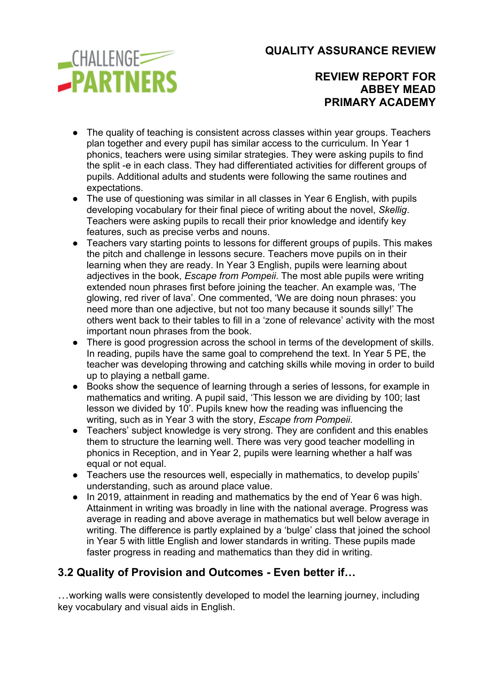

**REVIEW REPORT FOR ABBEY MEAD PRIMARY ACADEMY**

- The quality of teaching is consistent across classes within year groups. Teachers plan together and every pupil has similar access to the curriculum. In Year 1 phonics, teachers were using similar strategies. They were asking pupils to find the split -e in each class. They had differentiated activities for different groups of pupils. Additional adults and students were following the same routines and expectations.
- The use of questioning was similar in all classes in Year 6 English, with pupils developing vocabulary for their final piece of writing about the novel, *Skellig*. Teachers were asking pupils to recall their prior knowledge and identify key features, such as precise verbs and nouns.
- Teachers vary starting points to lessons for different groups of pupils. This makes the pitch and challenge in lessons secure. Teachers move pupils on in their learning when they are ready. In Year 3 English, pupils were learning about adjectives in the book, *Escape from Pompeii*. The most able pupils were writing extended noun phrases first before joining the teacher. An example was, 'The glowing, red river of lava'. One commented, 'We are doing noun phrases: you need more than one adjective, but not too many because it sounds silly!' The others went back to their tables to fill in a 'zone of relevance' activity with the most important noun phrases from the book.
- There is good progression across the school in terms of the development of skills. In reading, pupils have the same goal to comprehend the text. In Year 5 PE, the teacher was developing throwing and catching skills while moving in order to build up to playing a netball game.
- Books show the sequence of learning through a series of lessons, for example in mathematics and writing. A pupil said, 'This lesson we are dividing by 100; last lesson we divided by 10'. Pupils knew how the reading was influencing the writing, such as in Year 3 with the story, *Escape from Pompeii*.
- Teachers' subject knowledge is very strong. They are confident and this enables them to structure the learning well. There was very good teacher modelling in phonics in Reception, and in Year 2, pupils were learning whether a half was equal or not equal.
- Teachers use the resources well, especially in mathematics, to develop pupils' understanding, such as around place value.
- In 2019, attainment in reading and mathematics by the end of Year 6 was high. Attainment in writing was broadly in line with the national average. Progress was average in reading and above average in mathematics but well below average in writing. The difference is partly explained by a 'bulge' class that joined the school in Year 5 with little English and lower standards in writing. These pupils made faster progress in reading and mathematics than they did in writing.

# **3.2 Quality of Provision and Outcomes - Even better if…**

…working walls were consistently developed to model the learning journey, including key vocabulary and visual aids in English.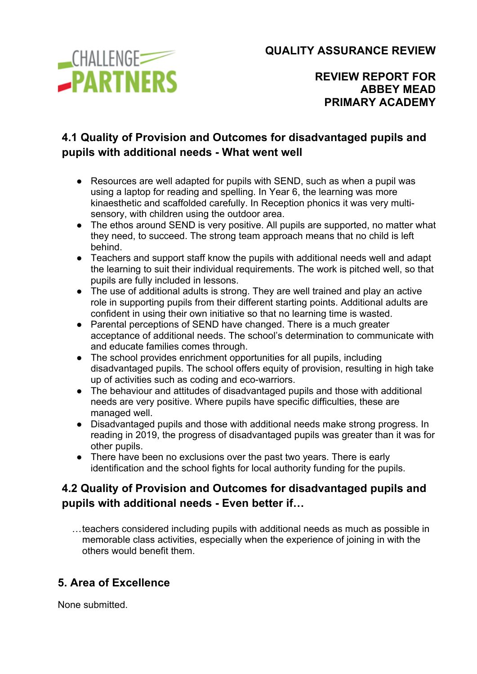

**REVIEW REPORT FOR ABBEY MEAD PRIMARY ACADEMY**

# **4.1 Quality of Provision and Outcomes for disadvantaged pupils and pupils with additional needs - What went well**

- Resources are well adapted for pupils with SEND, such as when a pupil was using a laptop for reading and spelling. In Year 6, the learning was more kinaesthetic and scaffolded carefully. In Reception phonics it was very multisensory, with children using the outdoor area.
- The ethos around SEND is very positive. All pupils are supported, no matter what they need, to succeed. The strong team approach means that no child is left behind.
- Teachers and support staff know the pupils with additional needs well and adapt the learning to suit their individual requirements. The work is pitched well, so that pupils are fully included in lessons.
- The use of additional adults is strong. They are well trained and play an active role in supporting pupils from their different starting points. Additional adults are confident in using their own initiative so that no learning time is wasted.
- Parental perceptions of SEND have changed. There is a much greater acceptance of additional needs. The school's determination to communicate with and educate families comes through.
- The school provides enrichment opportunities for all pupils, including disadvantaged pupils. The school offers equity of provision, resulting in high take up of activities such as coding and eco-warriors.
- The behaviour and attitudes of disadvantaged pupils and those with additional needs are very positive. Where pupils have specific difficulties, these are managed well.
- Disadvantaged pupils and those with additional needs make strong progress. In reading in 2019, the progress of disadvantaged pupils was greater than it was for other pupils.
- There have been no exclusions over the past two years. There is early identification and the school fights for local authority funding for the pupils.

# **4.2 Quality of Provision and Outcomes for disadvantaged pupils and pupils with additional needs - Even better if…**

…teachers considered including pupils with additional needs as much as possible in memorable class activities, especially when the experience of joining in with the others would benefit them.

# **5. Area of Excellence**

None submitted.